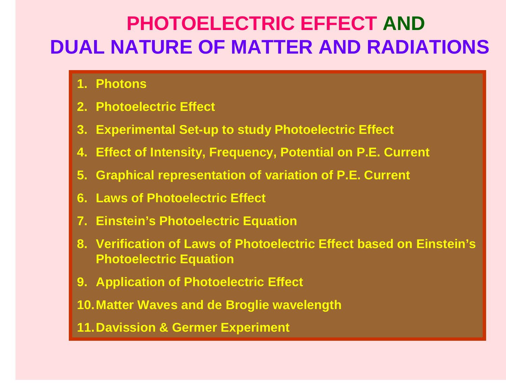# **PHOTOELECTRIC EFFECT ANDDUAL NATURE OF MATTER AND RADIATIONS**

- **1. Photons**
- **2. Photoelectric Effect**
- **3. Experimental Set-up to study Photoelectric Effect**
- **4. Effect of Intensity, Frequency, Potential on P.E. Current**
- **5. Graphical representation of variation of P.E. Current**
- **6. Laws of Photoelectric Effect**
- **7. Einstein's Photoelectric Equation**
- **8. Verification of Laws of Photoelectric Effect based on Einstein's Photoelectric Equation**
- **9. Application of Photoelectric Effect**

**10.Matter Waves and de Broglie wavelength**

**11.Davission & Germer Experiment**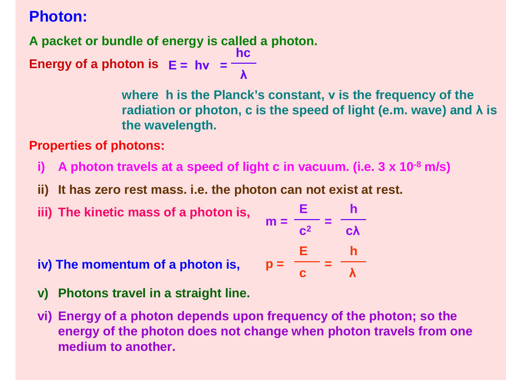# **Photon:**

**A packet or bundle of energy is called a photon.** 

**Energy of a photon is E = h<sup>ν</sup> <sup>=</sup> hcλ**

> **where h is the Planck's constant, v is the frequency of the radiation or photon, c is the speed of light (e.m. wave) and λ is the wavelength.**

**Properties of photons:**

- **i) A photon travels at a speed of light c in vacuum. (i.e. 3 x 10-8 m/s)**
- **ii) It has zero rest mass. i.e. the photon can not exist at rest.**
- **iii)** The kinetic mass of a photon is,

$$
n = \frac{E}{c^2} = \frac{h}{c\lambda}
$$

$$
p = \frac{E}{c} = \frac{h}{\lambda}
$$

- **iv) The momentum of a photon is,p =**
- **v) Photons travel in a straight line.**
- **vi) Energy of a photon depends upon frequency of the photon; so the energy of the photon does not change when photon travels from one medium to another.**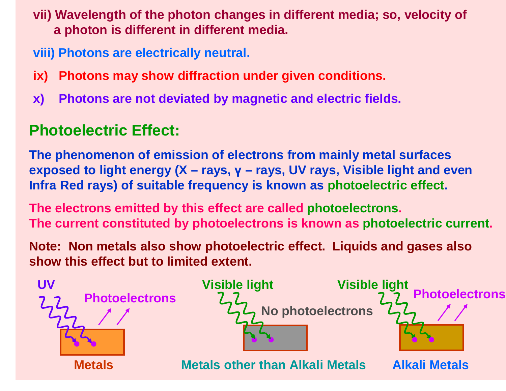**vii) Wavelength of the photon changes in different media; so, velocity of a photon is different in different media.**

**viii) Photons are electrically neutral.**

- **ix) Photons may show diffraction under given conditions.**
- **x) Photons are not deviated by magnetic and electric fields.**

# **Photoelectric Effect:**

**The phenomenon of emission of electrons from mainly metal surfaces exposed to light energy (X – rays, γ – rays, UV rays, Visible light and even Infra Red rays) of suitable frequency is known as photoelectric effect.**

**The electrons emitted by this effect are called photoelectrons. The current constituted by photoelectrons is known as photoelectric current.**

**Note: Non metals also show photoelectric effect. Liquids and gases also show this effect but to limited extent.**

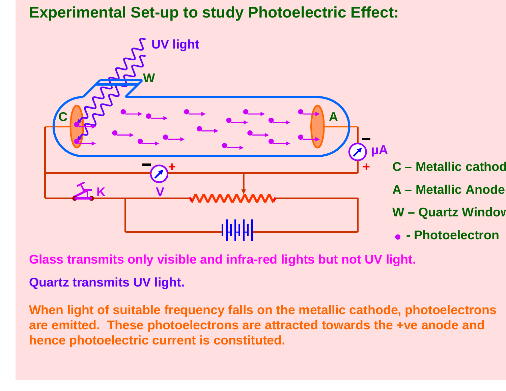# **Experimental Set-up to study Photoelectric Effect:**



**Glass transmits only visible and infra-red lights but not UV light.**

**Quartz transmits UV light.**

**When light of suitable frequency falls on the metallic cathode, photoelectrons are emitted. These photoelectrons are attracted towards the +ve anode and hence photoelectric current is constituted.**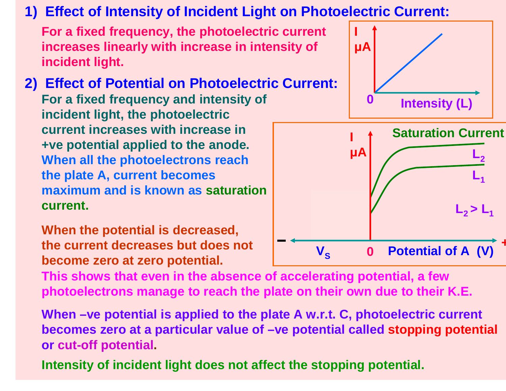# **1) Effect of Intensity of Incident Light on Photoelectric Current:**

**For a fixed frequency, the photoelectric current increases linearly with increase in intensity of incident light.**

**2) Effect of Potential on Photoelectric Current:For a fixed frequency and intensity of incident light, the photoelectric current increases with increase in +ve potential applied to the anode. When all the photoelectrons reach the plate A, current becomes maximum and is known as saturation current.**

**When the potential is decreased, the current decreases but does not become zero at zero potential.**

**This shows that even in the absence of accelerating potential, a few photoelectrons manage to reach the plate on their own due to their K.E.**

**When –ve potential is applied to the plate A w.r.t. C, photoelectric current becomes zero at a particular value of –ve potential called stopping potential or cut-off potential.**

**Intensity of incident light does not affect the stopping potential.**

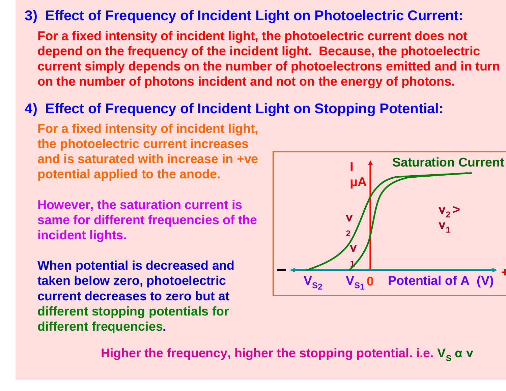## **3) Effect of Frequency of Incident Light on Photoelectric Current:**

**For a fixed intensity of incident light, the photoelectric current does not depend on the frequency of the incident light. Because, the photoelectric current simply depends on the number of photoelectrons emitted and in turn on the number of photons incident and not on the energy of photons.**

# **4) Effect of Frequency of Incident Light on Stopping Potential:**

**For a fixed intensity of incident light, the photoelectric current increases and is saturated with increase in +vepotential applied to the anode.**

**However, the saturation current is same for different frequencies of the incident lights.**

**When potential is decreased and taken below zero, photoelectric current decreases to zero but at different stopping potentials for different frequencies.**



**i** Higher the frequency, higher the stopping potential. i.e.  ${\mathsf V}_{_{\mathbf S}}$  α  ${\mathsf v}$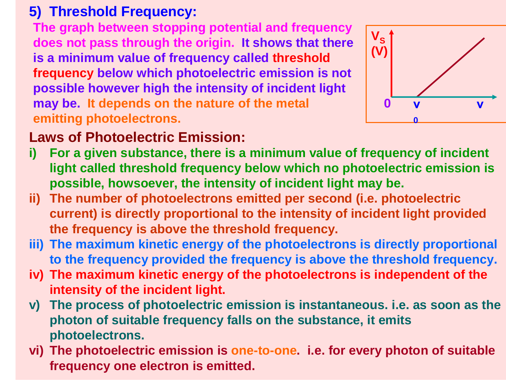# **5) Threshold Frequency:**

 **The graph between stopping potential and frequency does not pass through the origin. It shows that there is a minimum value of frequency called threshold frequency below which photoelectric emission is not possible however high the intensity of incident light may be. It depends on the nature of the metal emitting photoelectrons.**



# **Laws of Photoelectric Emission:**

- **i) For a given substance, there is a minimum value of frequency of incident light called threshold frequency below which no photoelectric emission is possible, howsoever, the intensity of incident light may be.**
- **ii) The number of photoelectrons emitted per second (i.e. photoelectric current) is directly proportional to the intensity of incident light provided the frequency is above the threshold frequency.**
- **iii) The maximum kinetic energy of the photoelectrons is directly proportional to the frequency provided the frequency is above the threshold frequency.**
- **iv) The maximum kinetic energy of the photoelectrons is independent of the intensity of the incident light.**
- **v) The process of photoelectric emission is instantaneous. i.e. as soon as the photon of suitable frequency falls on the substance, it emits photoelectrons.**
- **vi) The photoelectric emission is one-to-one. i.e. for every photon of suitable frequency one electron is emitted.**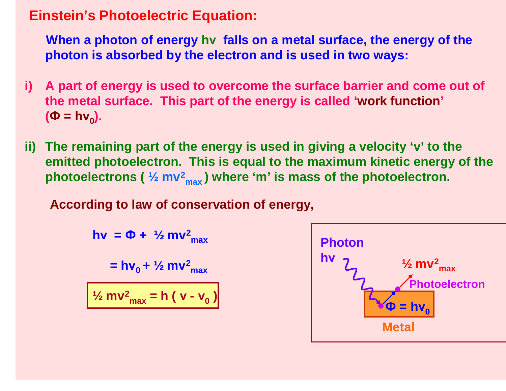### **Einstein's Photoelectric Equation:**

**When a photon of energy hν falls on a metal surface, the energy of the photon is absorbed by the electron and is used in two ways:**

- **i) A part of energy is used to overcome the surface barrier and come out of the metal surface. This part of the energy is called 'work function'(Ф = h ν0).**
- **ii) The remaining part of the energy is used in giving a velocity 'v' to the emitted photoelectron. This is equal to the maximum kinetic energy of the photoelectrons ( ½ mv2max ) where 'm' is mass of the photoelectron.**

**According to law of conservation of energy,**

**hν <sup>=</sup> Ф + ½ mv 2 max= h<sup>ν</sup>0 + ½ mv2 max½ mv2max = h ( ν-ν0)**

**Photon hνMetalPhotoelectron ½ mv2 maxФ = h ν0**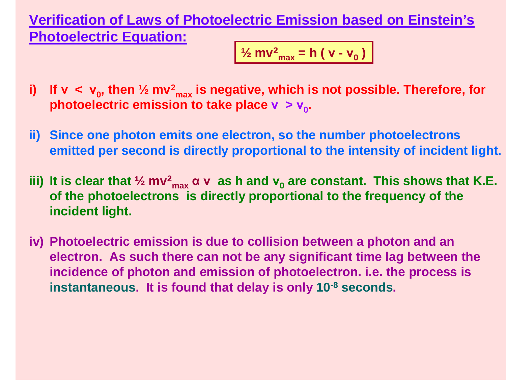**Verification of Laws of Photoelectric Emission based on Einstein's Photoelectric Equation:**

$$
\frac{1}{2}mv_{\text{max}}^2 = h (v - v_0)
$$

- **i) If ν<ν<sup>0</sup>, then ½ mv2 photoelectric emission to take place ν <sup>&</sup>gt; ν0.max is negative, which is not possible. Therefore, for**
- **ii) Since one photon emits one electron, so the number photoelectrons emitted per second is directly proportional to the intensity of incident light.**
- **iii) It is clear that ½ mv2 of the photoelectrons is directly proportional to the frequency of the max <sup>α</sup> <sup>ν</sup> as h and ν0 are constant. This shows that K.E. incident light.**
- **iv) Photoelectric emission is due to collision between a photon and an electron. As such there can not be any significant time lag between the incidence of photon and emission of photoelectron. i.e. the process is instantaneous. It is found that delay is only 10-8 seconds.**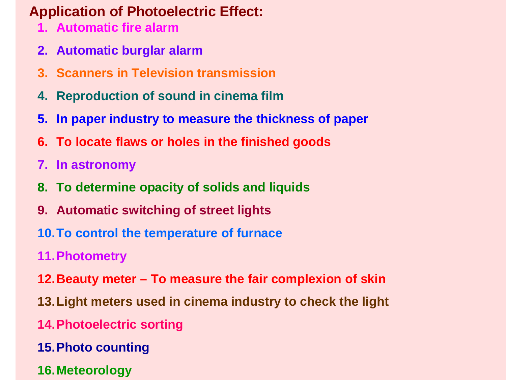# **Application of Photoelectric Effect:**

- **1. Automatic fire alarm**
- **2. Automatic burglar alarm**
- **3. Scanners in Television transmission**
- **4. Reproduction of sound in cinema film**
- **5. In paper industry to measure the thickness of paper**
- **6. To locate flaws or holes in the finished goods**
- **7. In astronomy**
- **8. To determine opacity of solids and liquids**
- **9. Automatic switching of street lights**
- **10.To control the temperature of furnace**
- **11.Photometry**
- **12.Beauty meter – To measure the fair complexion of skin**
- **13.Light meters used in cinema industry to check the light**
- **14.Photoelectric sorting**
- **15.Photo counting**
- **16.Meteorology**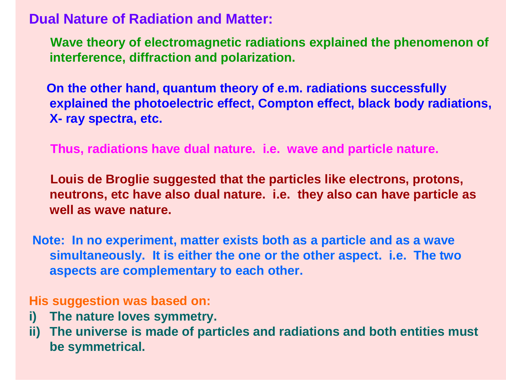**Dual Nature of Radiation and Matter:**

**Wave theory of electromagnetic radiations explained the phenomenon of interference, diffraction and polarization.**

**On the other hand, quantum theory of e.m. radiations successfully explained the photoelectric effect, Compton effect, black body radiations, X- ray spectra, etc.**

**Thus, radiations have dual nature. i.e. wave and particle nature.**

**Louis de Broglie suggested that the particles like electrons, protons, neutrons, etc have also dual nature. i.e. they also can have particle as well as wave nature.**

**Note: In no experiment, matter exists both as a particle and as a wave simultaneously. It is either the one or the other aspect. i.e. The two aspects are complementary to each other.**

#### **His suggestion was based on:**

- **i) The nature loves symmetry.**
- **ii) The universe is made of particles and radiations and both entities must be symmetrical.**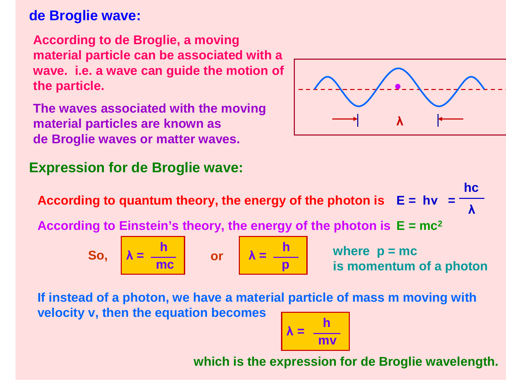## **de Broglie wave:**

**According to de Broglie, a moving material particle can be associated with a wave. i.e. a wave can guide the motion of the particle.**

**The waves associated with the moving material particles are known as de Broglie waves or matter waves.**

## **Expression for de Broglie wave:**



**According to quantum theory, the energy of the photon is E = hν <sup>=</sup> hcλAccording to Einstein's theory, the energy of the photon is E = mc<sup>2</sup> So,**  $\lambda = \frac{h}{mc}$ or  $\lambda = \frac{h}{p}$ **where p = mc is momentum of a photon**

**If instead of a photon, we have a material particle of mass m moving with velocity v, then the equation becomes**

$$
\lambda = \frac{h}{mv}
$$

**which is the expression for de Broglie wavelength.**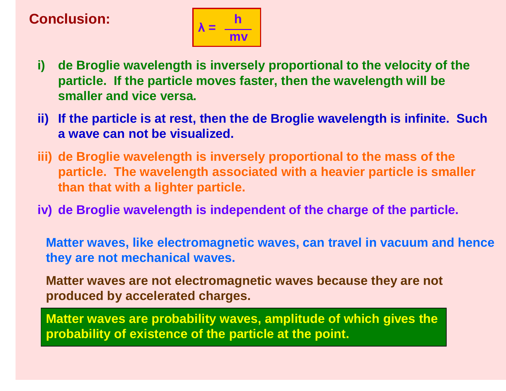# **Conclusion:**



- **i) de Broglie wavelength is inversely proportional to the velocity of the particle. If the particle moves faster, then the wavelength will be smaller and vice versa.**
- **ii) If the particle is at rest, then the de Broglie wavelength is infinite. Such a wave can not be visualized.**
- **iii) de Broglie wavelength is inversely proportional to the mass of the particle. The wavelength associated with a heavier particle is smaller than that with a lighter particle.**
- **iv) de Broglie wavelength is independent of the charge of the particle.**

**Matter waves, like electromagnetic waves, can travel in vacuum and hence they are not mechanical waves.**

**Matter waves are not electromagnetic waves because they are not produced by accelerated charges.**

**Matter waves are probability waves, amplitude of which gives theprobability of existence of the particle at the point.**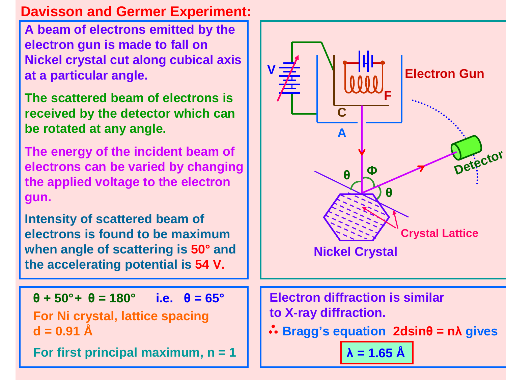## **Davisson and Germer Experiment:**

**A beam of electrons emitted by the electron gun is made to fall on Nickel crystal cut along cubical axis at a particular angle.**

**The scattered beam of electrons is received by the detector which can be rotated at any angle.**

**The energy of the incident beam of electrons can be varied by changing the applied voltage to the electron gun.**

**Intensity of scattered beam of electrons is found to be maximum when angle of scattering is 50° and the accelerating potential is 54 V.**

**θ + 50°+ θ = 180° i.e. θ = 65°**

**For Ni crystal, lattice spacing d = 0.91 Å**

**For first principal maximum, n = 1**

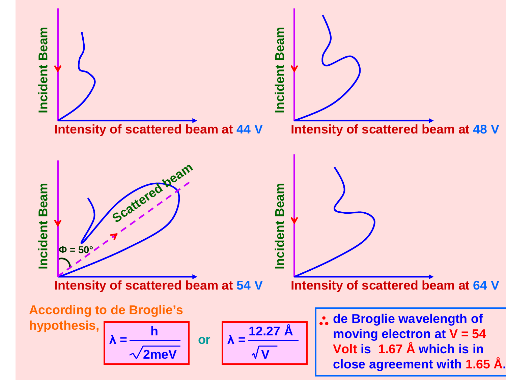